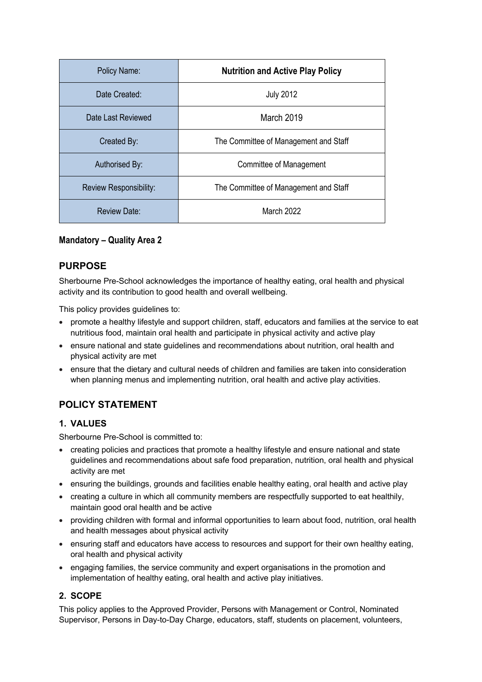| Policy Name:           | <b>Nutrition and Active Play Policy</b> |
|------------------------|-----------------------------------------|
| Date Created:          | <b>July 2012</b>                        |
| Date Last Reviewed     | March 2019                              |
| Created By:            | The Committee of Management and Staff   |
| Authorised By:         | Committee of Management                 |
| Review Responsibility: | The Committee of Management and Staff   |
| Review Date:           | March 2022                              |

# **Mandatory – Quality Area 2**

# **PURPOSE**

Sherbourne Pre-School acknowledges the importance of healthy eating, oral health and physical activity and its contribution to good health and overall wellbeing.

This policy provides guidelines to:

- promote a healthy lifestyle and support children, staff, educators and families at the service to eat nutritious food, maintain oral health and participate in physical activity and active play
- ensure national and state guidelines and recommendations about nutrition, oral health and physical activity are met
- ensure that the dietary and cultural needs of children and families are taken into consideration when planning menus and implementing nutrition, oral health and active play activities.

# **POLICY STATEMENT**

# **1. VALUES**

Sherbourne Pre-School is committed to:

- creating policies and practices that promote a healthy lifestyle and ensure national and state guidelines and recommendations about safe food preparation, nutrition, oral health and physical activity are met
- ensuring the buildings, grounds and facilities enable healthy eating, oral health and active play
- creating a culture in which all community members are respectfully supported to eat healthily, maintain good oral health and be active
- providing children with formal and informal opportunities to learn about food, nutrition, oral health and health messages about physical activity
- ensuring staff and educators have access to resources and support for their own healthy eating, oral health and physical activity
- engaging families, the service community and expert organisations in the promotion and implementation of healthy eating, oral health and active play initiatives.

# **2. SCOPE**

This policy applies to the Approved Provider, Persons with Management or Control, Nominated Supervisor, Persons in Day-to-Day Charge, educators, staff, students on placement, volunteers,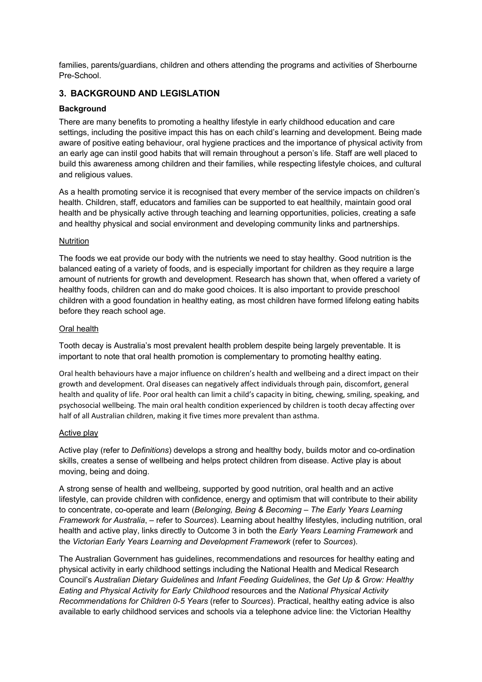families, parents/guardians, children and others attending the programs and activities of Sherbourne Pre-School.

### **3. BACKGROUND AND LEGISLATION**

### **Background**

There are many benefits to promoting a healthy lifestyle in early childhood education and care settings, including the positive impact this has on each child's learning and development. Being made aware of positive eating behaviour, oral hygiene practices and the importance of physical activity from an early age can instil good habits that will remain throughout a person's life. Staff are well placed to build this awareness among children and their families, while respecting lifestyle choices, and cultural and religious values.

As a health promoting service it is recognised that every member of the service impacts on children's health. Children, staff, educators and families can be supported to eat healthily, maintain good oral health and be physically active through teaching and learning opportunities, policies, creating a safe and healthy physical and social environment and developing community links and partnerships.

#### **Nutrition**

The foods we eat provide our body with the nutrients we need to stay healthy. Good nutrition is the balanced eating of a variety of foods, and is especially important for children as they require a large amount of nutrients for growth and development. Research has shown that, when offered a variety of healthy foods, children can and do make good choices. It is also important to provide preschool children with a good foundation in healthy eating, as most children have formed lifelong eating habits before they reach school age.

#### Oral health

Tooth decay is Australia's most prevalent health problem despite being largely preventable. It is important to note that oral health promotion is complementary to promoting healthy eating.

Oral health behaviours have a major influence on children's health and wellbeing and a direct impact on their growth and development. Oral diseases can negatively affect individuals through pain, discomfort, general health and quality of life. Poor oral health can limit a child's capacity in biting, chewing, smiling, speaking, and psychosocial wellbeing. The main oral health condition experienced by children is tooth decay affecting over half of all Australian children, making it five times more prevalent than asthma.

#### Active play

Active play (refer to *Definitions*) develops a strong and healthy body, builds motor and co-ordination skills, creates a sense of wellbeing and helps protect children from disease. Active play is about moving, being and doing.

A strong sense of health and wellbeing, supported by good nutrition, oral health and an active lifestyle, can provide children with confidence, energy and optimism that will contribute to their ability to concentrate, co-operate and learn (*Belonging, Being & Becoming – The Early Years Learning Framework for Australia*, – refer to *Sources*). Learning about healthy lifestyles, including nutrition, oral health and active play, links directly to Outcome 3 in both the *Early Years Learning Framework* and the *Victorian Early Years Learning and Development Framework* (refer to *Sources*).

The Australian Government has guidelines, recommendations and resources for healthy eating and physical activity in early childhood settings including the National Health and Medical Research Council's *Australian Dietary Guidelines* and *Infant Feeding Guidelines*, the *Get Up & Grow: Healthy Eating and Physical Activity for Early Childhood* resources and the *National Physical Activity Recommendations for Children 0-5 Years* (refer to *Sources*). Practical, healthy eating advice is also available to early childhood services and schools via a telephone advice line: the Victorian Healthy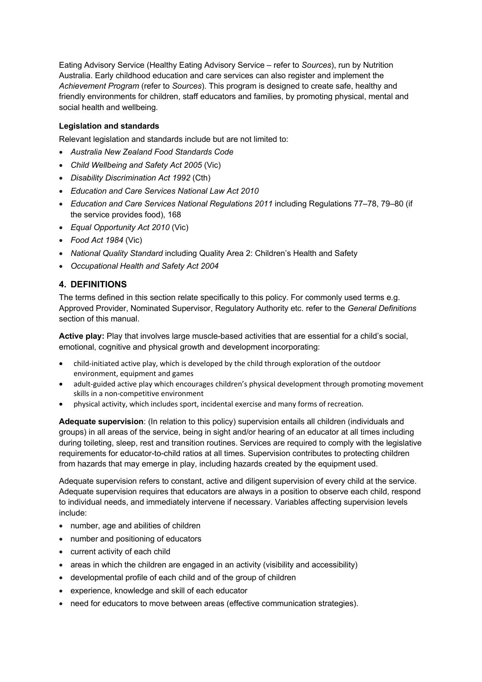Eating Advisory Service (Healthy Eating Advisory Service – refer to *Sources*), run by Nutrition Australia. Early childhood education and care services can also register and implement the *Achievement Program* (refer to *Sources*). This program is designed to create safe, healthy and friendly environments for children, staff educators and families, by promoting physical, mental and social health and wellbeing.

### **Legislation and standards**

Relevant legislation and standards include but are not limited to:

- *Australia New Zealand Food Standards Code*
- *Child Wellbeing and Safety Act 2005* (Vic)
- *Disability Discrimination Act 1992* (Cth)
- *Education and Care Services National Law Act 2010*
- *Education and Care Services National Regulations 2011* including Regulations 77–78, 79–80 (if the service provides food), 168
- *Equal Opportunity Act 2010* (Vic)
- *Food Act 1984* (Vic)
- *National Quality Standard* including Quality Area 2: Children's Health and Safety
- *Occupational Health and Safety Act 2004*

### **4. DEFINITIONS**

The terms defined in this section relate specifically to this policy. For commonly used terms e.g. Approved Provider, Nominated Supervisor, Regulatory Authority etc. refer to the *General Definitions* section of this manual.

**Active play:** Play that involves large muscle-based activities that are essential for a child's social, emotional, cognitive and physical growth and development incorporating:

- child-initiated active play, which is developed by the child through exploration of the outdoor environment, equipment and games
- adult-guided active play which encourages children's physical development through promoting movement skills in a non-competitive environment
- physical activity, which includes sport, incidental exercise and many forms of recreation.

**Adequate supervision**: (In relation to this policy) supervision entails all children (individuals and groups) in all areas of the service, being in sight and/or hearing of an educator at all times including during toileting, sleep, rest and transition routines. Services are required to comply with the legislative requirements for educator-to-child ratios at all times. Supervision contributes to protecting children from hazards that may emerge in play, including hazards created by the equipment used.

Adequate supervision refers to constant, active and diligent supervision of every child at the service. Adequate supervision requires that educators are always in a position to observe each child, respond to individual needs, and immediately intervene if necessary. Variables affecting supervision levels include:

- number, age and abilities of children
- number and positioning of educators
- current activity of each child
- areas in which the children are engaged in an activity (visibility and accessibility)
- developmental profile of each child and of the group of children
- experience, knowledge and skill of each educator
- need for educators to move between areas (effective communication strategies).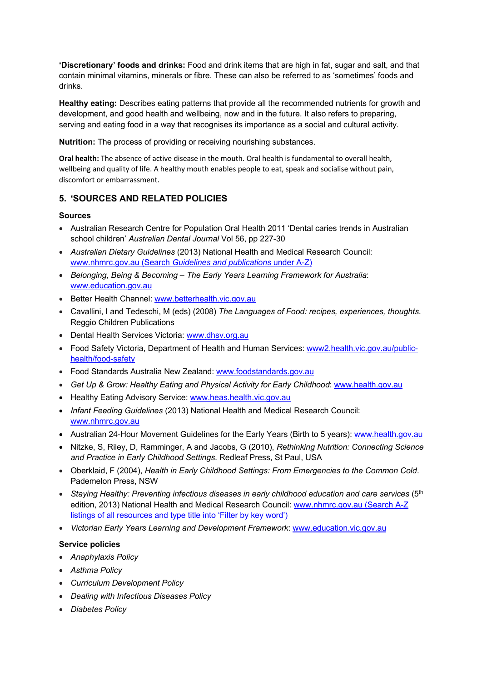**'Discretionary' foods and drinks:** Food and drink items that are high in fat, sugar and salt, and that contain minimal vitamins, minerals or fibre. These can also be referred to as 'sometimes' foods and drinks.

**Healthy eating:** Describes eating patterns that provide all the recommended nutrients for growth and development, and good health and wellbeing, now and in the future. It also refers to preparing, serving and eating food in a way that recognises its importance as a social and cultural activity.

**Nutrition:** The process of providing or receiving nourishing substances.

**Oral health:** The absence of active disease in the mouth. Oral health is fundamental to overall health, wellbeing and quality of life. A healthy mouth enables people to eat, speak and socialise without pain, discomfort or embarrassment.

### **5. 'SOURCES AND RELATED POLICIES**

#### **Sources**

- Australian Research Centre for Population Oral Health 2011 'Dental caries trends in Australian school children' *Australian Dental Journal* Vol 56, pp 227-30
- *Australian Dietary Guidelines* (2013) National Health and Medical Research Council: www.nhmrc.gov.au (Search *Guidelines and publications* under A-Z)
- *Belonging, Being & Becoming – The Early Years Learning Framework for Australia*: www.education.gov.au
- Better Health Channel: www.betterhealth.vic.gov.au
- Cavallini, I and Tedeschi, M (eds) (2008) *The Languages of Food: recipes, experiences, thoughts*. Reggio Children Publications
- Dental Health Services Victoria: www.dhsv.org.au
- Food Safety Victoria, Department of Health and Human Services: www2.health.vic.gov.au/publichealth/food-safety
- Food Standards Australia New Zealand: www.foodstandards.gov.au
- *Get Up & Grow: Healthy Eating and Physical Activity for Early Childhood*: www.health.gov.au
- Healthy Eating Advisory Service: www.heas.health.vic.gov.au
- *Infant Feeding Guidelines* (2013) National Health and Medical Research Council: www.nhmrc.gov.au
- Australian 24-Hour Movement Guidelines for the Early Years (Birth to 5 years): www.health.gov.au
- Nitzke, S, Riley, D, Ramminger, A and Jacobs, G (2010), *Rethinking Nutrition: Connecting Science and Practice in Early Childhood Settings*. Redleaf Press, St Paul, USA
- Oberklaid, F (2004), *Health in Early Childhood Settings: From Emergencies to the Common Cold*. Pademelon Press, NSW
- *Staying Healthy: Preventing infectious diseases in early childhood education and care services* (5th edition, 2013) National Health and Medical Research Council: www.nhmrc.gov.au (Search A-Z listings of all resources and type title into 'Filter by key word')
- *Victorian Early Years Learning and Development Framework*: www.education.vic.gov.au

#### **Service policies**

- *Anaphylaxis Policy*
- *Asthma Policy*
- *Curriculum Development Policy*
- *Dealing with Infectious Diseases Policy*
- *Diabetes Policy*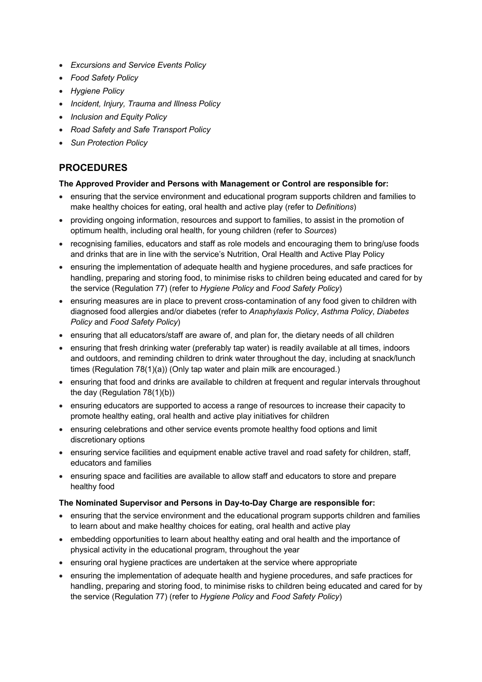- *Excursions and Service Events Policy*
- *Food Safety Policy*
- *Hygiene Policy*
- *Incident, Injury, Trauma and Illness Policy*
- *Inclusion and Equity Policy*
- *Road Safety and Safe Transport Policy*
- *Sun Protection Policy*

# **PROCEDURES**

#### **The Approved Provider and Persons with Management or Control are responsible for:**

- ensuring that the service environment and educational program supports children and families to make healthy choices for eating, oral health and active play (refer to *Definitions*)
- providing ongoing information, resources and support to families, to assist in the promotion of optimum health, including oral health, for young children (refer to *Sources*)
- recognising families, educators and staff as role models and encouraging them to bring/use foods and drinks that are in line with the service's Nutrition, Oral Health and Active Play Policy
- ensuring the implementation of adequate health and hygiene procedures, and safe practices for handling, preparing and storing food, to minimise risks to children being educated and cared for by the service (Regulation 77) (refer to *Hygiene Policy* and *Food Safety Policy*)
- ensuring measures are in place to prevent cross-contamination of any food given to children with diagnosed food allergies and/or diabetes (refer to *Anaphylaxis Policy*, *Asthma Policy*, *Diabetes Policy* and *Food Safety Policy*)
- ensuring that all educators/staff are aware of, and plan for, the dietary needs of all children
- ensuring that fresh drinking water (preferably tap water) is readily available at all times, indoors and outdoors, and reminding children to drink water throughout the day, including at snack/lunch times (Regulation 78(1)(a)) (Only tap water and plain milk are encouraged.)
- ensuring that food and drinks are available to children at frequent and regular intervals throughout the day (Regulation 78(1)(b))
- ensuring educators are supported to access a range of resources to increase their capacity to promote healthy eating, oral health and active play initiatives for children
- ensuring celebrations and other service events promote healthy food options and limit discretionary options
- ensuring service facilities and equipment enable active travel and road safety for children, staff, educators and families
- ensuring space and facilities are available to allow staff and educators to store and prepare healthy food

#### **The Nominated Supervisor and Persons in Day-to-Day Charge are responsible for:**

- ensuring that the service environment and the educational program supports children and families to learn about and make healthy choices for eating, oral health and active play
- embedding opportunities to learn about healthy eating and oral health and the importance of physical activity in the educational program, throughout the year
- ensuring oral hygiene practices are undertaken at the service where appropriate
- ensuring the implementation of adequate health and hygiene procedures, and safe practices for handling, preparing and storing food, to minimise risks to children being educated and cared for by the service (Regulation 77) (refer to *Hygiene Policy* and *Food Safety Policy*)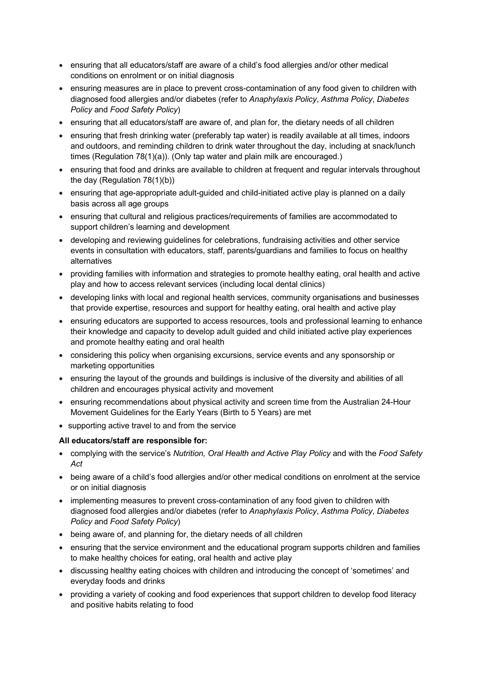- ensuring that all educators/staff are aware of a child's food allergies and/or other medical conditions on enrolment or on initial diagnosis
- ensuring measures are in place to prevent cross-contamination of any food given to children with diagnosed food allergies and/or diabetes (refer to *Anaphylaxis Policy*, *Asthma Policy*, *Diabetes Policy* and *Food Safety Policy*)
- ensuring that all educators/staff are aware of, and plan for, the dietary needs of all children
- ensuring that fresh drinking water (preferably tap water) is readily available at all times, indoors and outdoors, and reminding children to drink water throughout the day, including at snack/lunch times (Regulation 78(1)(a)). (Only tap water and plain milk are encouraged.)
- ensuring that food and drinks are available to children at frequent and regular intervals throughout the day (Regulation 78(1)(b))
- ensuring that age-appropriate adult-guided and child-initiated active play is planned on a daily basis across all age groups
- ensuring that cultural and religious practices/requirements of families are accommodated to support children's learning and development
- developing and reviewing guidelines for celebrations, fundraising activities and other service events in consultation with educators, staff, parents/guardians and families to focus on healthy alternatives
- providing families with information and strategies to promote healthy eating, oral health and active play and how to access relevant services (including local dental clinics)
- developing links with local and regional health services, community organisations and businesses that provide expertise, resources and support for healthy eating, oral health and active play
- ensuring educators are supported to access resources, tools and professional learning to enhance their knowledge and capacity to develop adult guided and child initiated active play experiences and promote healthy eating and oral health
- considering this policy when organising excursions, service events and any sponsorship or marketing opportunities
- ensuring the layout of the grounds and buildings is inclusive of the diversity and abilities of all children and encourages physical activity and movement
- ensuring recommendations about physical activity and screen time from the Australian 24-Hour Movement Guidelines for the Early Years (Birth to 5 Years) are met
- supporting active travel to and from the service

#### **All educators/staff are responsible for:**

- complying with the service's *Nutrition, Oral Health and Active Play Policy* and with the *Food Safety Act*
- being aware of a child's food allergies and/or other medical conditions on enrolment at the service or on initial diagnosis
- implementing measures to prevent cross-contamination of any food given to children with diagnosed food allergies and/or diabetes (refer to *Anaphylaxis Policy*, *Asthma Policy*, *Diabetes Policy* and *Food Safety Policy*)
- being aware of, and planning for, the dietary needs of all children
- ensuring that the service environment and the educational program supports children and families to make healthy choices for eating, oral health and active play
- discussing healthy eating choices with children and introducing the concept of 'sometimes' and everyday foods and drinks
- providing a variety of cooking and food experiences that support children to develop food literacy and positive habits relating to food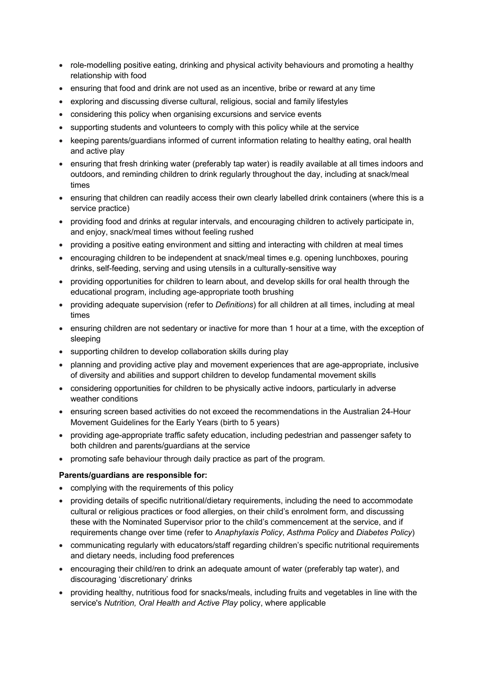- role-modelling positive eating, drinking and physical activity behaviours and promoting a healthy relationship with food
- ensuring that food and drink are not used as an incentive, bribe or reward at any time
- exploring and discussing diverse cultural, religious, social and family lifestyles
- considering this policy when organising excursions and service events
- supporting students and volunteers to comply with this policy while at the service
- keeping parents/guardians informed of current information relating to healthy eating, oral health and active play
- ensuring that fresh drinking water (preferably tap water) is readily available at all times indoors and outdoors, and reminding children to drink regularly throughout the day, including at snack/meal times
- ensuring that children can readily access their own clearly labelled drink containers (where this is a service practice)
- providing food and drinks at regular intervals, and encouraging children to actively participate in, and enjoy, snack/meal times without feeling rushed
- providing a positive eating environment and sitting and interacting with children at meal times
- encouraging children to be independent at snack/meal times e.g. opening lunchboxes, pouring drinks, self-feeding, serving and using utensils in a culturally-sensitive way
- providing opportunities for children to learn about, and develop skills for oral health through the educational program, including age-appropriate tooth brushing
- providing adequate supervision (refer to *Definitions*) for all children at all times, including at meal times
- ensuring children are not sedentary or inactive for more than 1 hour at a time, with the exception of sleeping
- supporting children to develop collaboration skills during play
- planning and providing active play and movement experiences that are age-appropriate, inclusive of diversity and abilities and support children to develop fundamental movement skills
- considering opportunities for children to be physically active indoors, particularly in adverse weather conditions
- ensuring screen based activities do not exceed the recommendations in the Australian 24-Hour Movement Guidelines for the Early Years (birth to 5 years)
- providing age-appropriate traffic safety education, including pedestrian and passenger safety to both children and parents/guardians at the service
- promoting safe behaviour through daily practice as part of the program.

#### **Parents/guardians are responsible for:**

- complying with the requirements of this policy
- providing details of specific nutritional/dietary requirements, including the need to accommodate cultural or religious practices or food allergies, on their child's enrolment form, and discussing these with the Nominated Supervisor prior to the child's commencement at the service, and if requirements change over time (refer to *Anaphylaxis Policy*, *Asthma Policy* and *Diabetes Policy*)
- communicating regularly with educators/staff regarding children's specific nutritional requirements and dietary needs, including food preferences
- encouraging their child/ren to drink an adequate amount of water (preferably tap water), and discouraging 'discretionary' drinks
- providing healthy, nutritious food for snacks/meals, including fruits and vegetables in line with the service's *Nutrition, Oral Health and Active Play* policy, where applicable